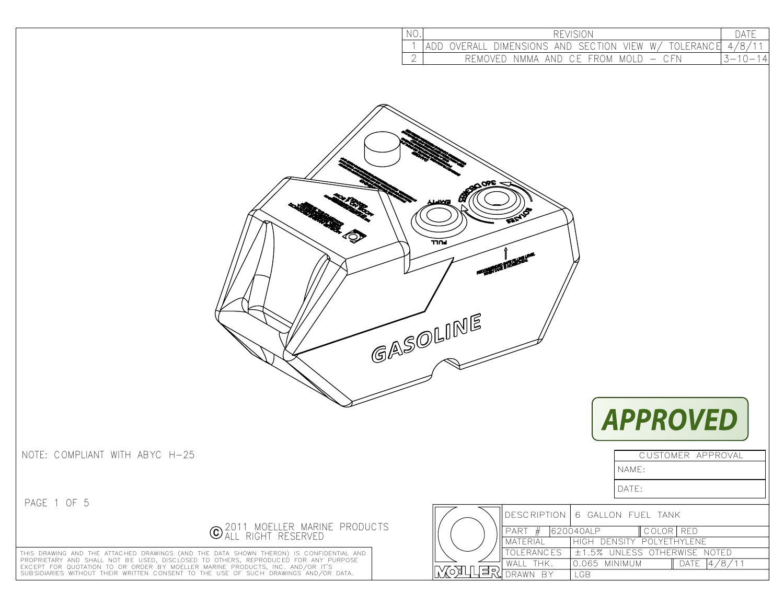| NO. | <b>REVISI</b>                                                         |    |  |  |
|-----|-----------------------------------------------------------------------|----|--|--|
|     | W/<br>VIFW<br>OVERALL DIMENSIONS AND SECTION<br>TOI FRANC             |    |  |  |
|     | – C.FN<br>NMMA AND CE FROM<br>$^{\circ}$ M()I D $^{\circ}$<br>REMOVED | 14 |  |  |





CUSTOMER APPROVAL

NOTE: COMPLIANT WITH ABYC H-25

PAGE 1 OF 5



THIS DRAWING AND THE ATTACHED DRAWINGS (AND THE DATA SHOWN THERON) IS CONFIDENTIAL AND<br>PROPRIETARY AND SHALL NOT BE USED, DISCLOSED TO OTHERS, REPRODUCED FOR ANY PURPOSE<br>EXCEPT FOR QUOTATION TO OR ORDER BY MOELLER MARINE P

|   |                 | DESCRIPTION 6 GALLON FUEL TANK |  |
|---|-----------------|--------------------------------|--|
|   |                 | 620040ALP<br>COLORIRED         |  |
|   | <b>MATERIAL</b> | HIGH DENSITY POLYETHYLENE      |  |
|   | OLERANCES       | L±1.5% UNLESS OTHERWISE NOTED  |  |
|   | WAII THK        | 0.065 MINIMUM<br>DATE          |  |
| ▭ |                 | GR                             |  |

NAME:

DATE: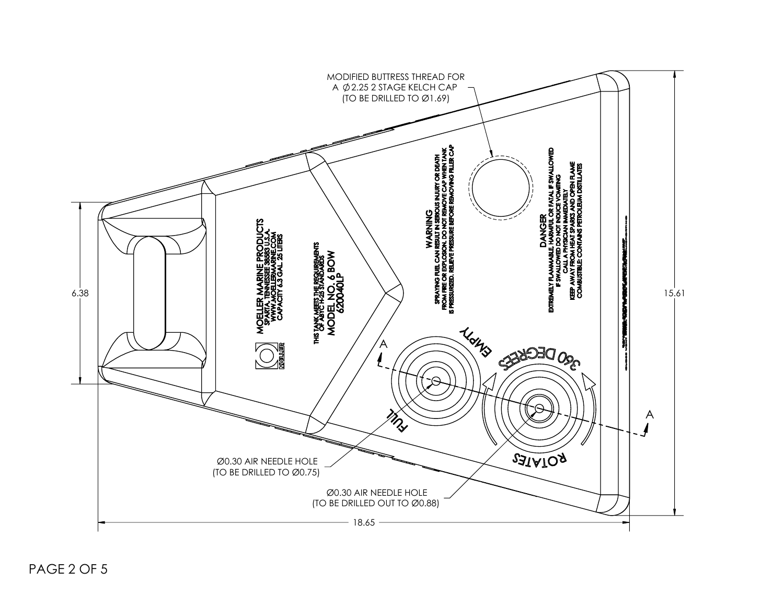

PAGE 2 OF 5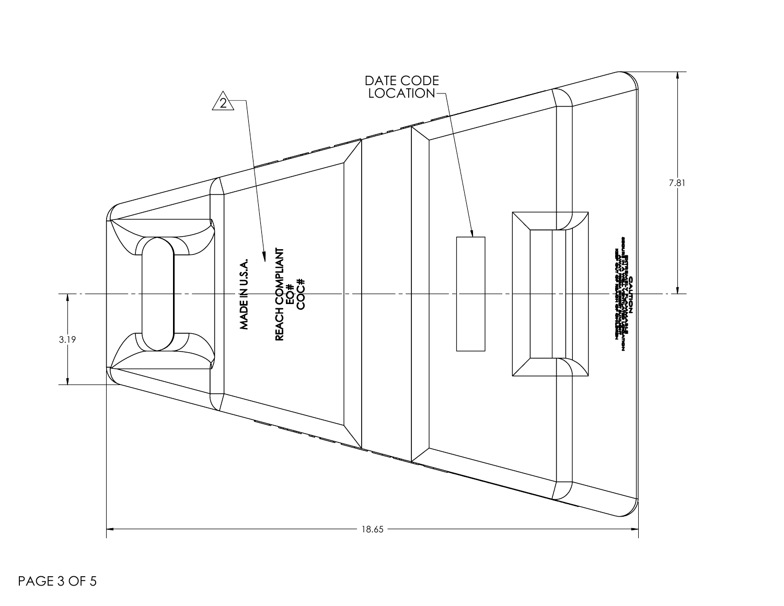

PAGE 3 OF 5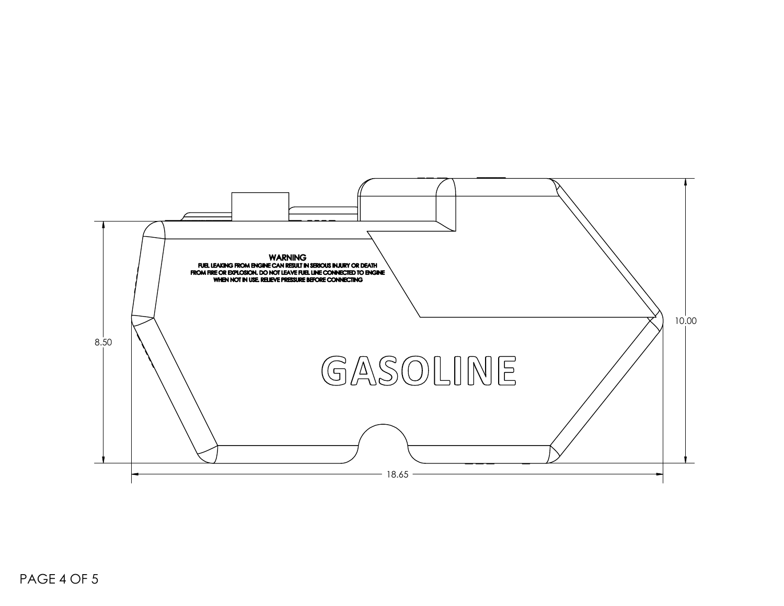